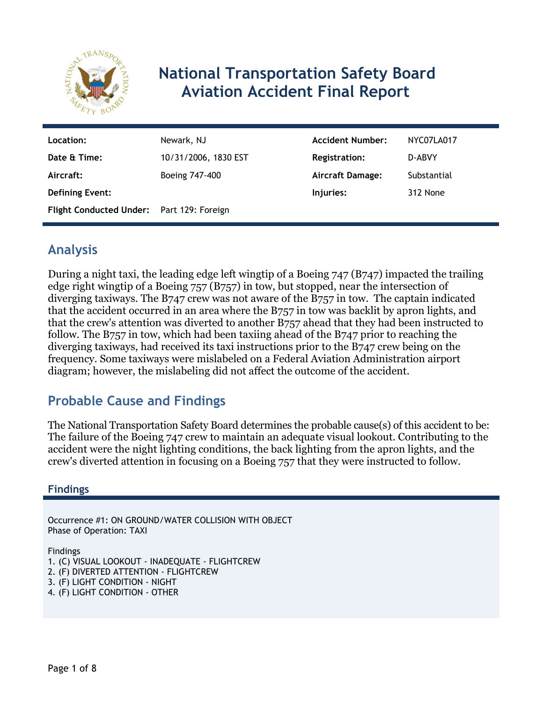

# **National Transportation Safety Board Aviation Accident Final Report**

| Location:                                 | Newark, NJ           | <b>Accident Number:</b> | NYC07LA017  |
|-------------------------------------------|----------------------|-------------------------|-------------|
| Date & Time:                              | 10/31/2006, 1830 EST | <b>Registration:</b>    | D-ABVY      |
| Aircraft:                                 | Boeing 747-400       | <b>Aircraft Damage:</b> | Substantial |
| <b>Defining Event:</b>                    |                      | Injuries:               | 312 None    |
| Flight Conducted Under: Part 129: Foreign |                      |                         |             |

## **Analysis**

During a night taxi, the leading edge left wingtip of a Boeing 747 (B747) impacted the trailing edge right wingtip of a Boeing 757 (B757) in tow, but stopped, near the intersection of diverging taxiways. The B747 crew was not aware of the B757 in tow. The captain indicated that the accident occurred in an area where the B757 in tow was backlit by apron lights, and that the crew's attention was diverted to another B757 ahead that they had been instructed to follow. The B757 in tow, which had been taxiing ahead of the B747 prior to reaching the diverging taxiways, had received its taxi instructions prior to the B747 crew being on the frequency. Some taxiways were mislabeled on a Federal Aviation Administration airport diagram; however, the mislabeling did not affect the outcome of the accident.

## **Probable Cause and Findings**

The National Transportation Safety Board determines the probable cause(s) of this accident to be: The failure of the Boeing 747 crew to maintain an adequate visual lookout. Contributing to the accident were the night lighting conditions, the back lighting from the apron lights, and the crew's diverted attention in focusing on a Boeing 757 that they were instructed to follow.

### **Findings**

Occurrence #1: ON GROUND/WATER COLLISION WITH OBJECT Phase of Operation: TAXI

Findings

1. (C) VISUAL LOOKOUT - INADEQUATE - FLIGHTCREW

- 2. (F) DIVERTED ATTENTION FLIGHTCREW
- 3. (F) LIGHT CONDITION NIGHT
- 4. (F) LIGHT CONDITION OTHER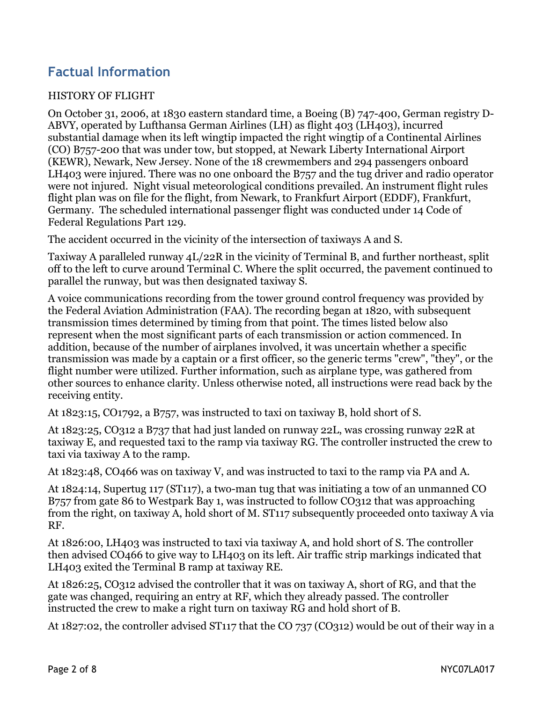## **Factual Information**

#### HISTORY OF FLIGHT

On October 31, 2006, at 1830 eastern standard time, a Boeing (B) 747-400, German registry D-ABVY, operated by Lufthansa German Airlines (LH) as flight 403 (LH403), incurred substantial damage when its left wingtip impacted the right wingtip of a Continental Airlines (CO) B757-200 that was under tow, but stopped, at Newark Liberty International Airport (KEWR), Newark, New Jersey. None of the 18 crewmembers and 294 passengers onboard LH403 were injured. There was no one onboard the B757 and the tug driver and radio operator were not injured. Night visual meteorological conditions prevailed. An instrument flight rules flight plan was on file for the flight, from Newark, to Frankfurt Airport (EDDF), Frankfurt, Germany. The scheduled international passenger flight was conducted under 14 Code of Federal Regulations Part 129.

The accident occurred in the vicinity of the intersection of taxiways A and S.

Taxiway A paralleled runway 4L/22R in the vicinity of Terminal B, and further northeast, split off to the left to curve around Terminal C. Where the split occurred, the pavement continued to parallel the runway, but was then designated taxiway S.

A voice communications recording from the tower ground control frequency was provided by the Federal Aviation Administration (FAA). The recording began at 1820, with subsequent transmission times determined by timing from that point. The times listed below also represent when the most significant parts of each transmission or action commenced. In addition, because of the number of airplanes involved, it was uncertain whether a specific transmission was made by a captain or a first officer, so the generic terms "crew", "they", or the flight number were utilized. Further information, such as airplane type, was gathered from other sources to enhance clarity. Unless otherwise noted, all instructions were read back by the receiving entity.

At 1823:15, CO1792, a B757, was instructed to taxi on taxiway B, hold short of S.

At 1823:25, CO312 a B737 that had just landed on runway 22L, was crossing runway 22R at taxiway E, and requested taxi to the ramp via taxiway RG. The controller instructed the crew to taxi via taxiway A to the ramp.

At 1823:48, CO466 was on taxiway V, and was instructed to taxi to the ramp via PA and A.

At 1824:14, Supertug 117 (ST117), a two-man tug that was initiating a tow of an unmanned CO B757 from gate 86 to Westpark Bay 1, was instructed to follow CO312 that was approaching from the right, on taxiway A, hold short of M. ST117 subsequently proceeded onto taxiway A via RF.

At 1826:00, LH403 was instructed to taxi via taxiway A, and hold short of S. The controller then advised CO466 to give way to LH403 on its left. Air traffic strip markings indicated that LH403 exited the Terminal B ramp at taxiway RE.

At 1826:25, CO312 advised the controller that it was on taxiway A, short of RG, and that the gate was changed, requiring an entry at RF, which they already passed. The controller instructed the crew to make a right turn on taxiway RG and hold short of B.

At 1827:02, the controller advised ST117 that the CO 737 (CO312) would be out of their way in a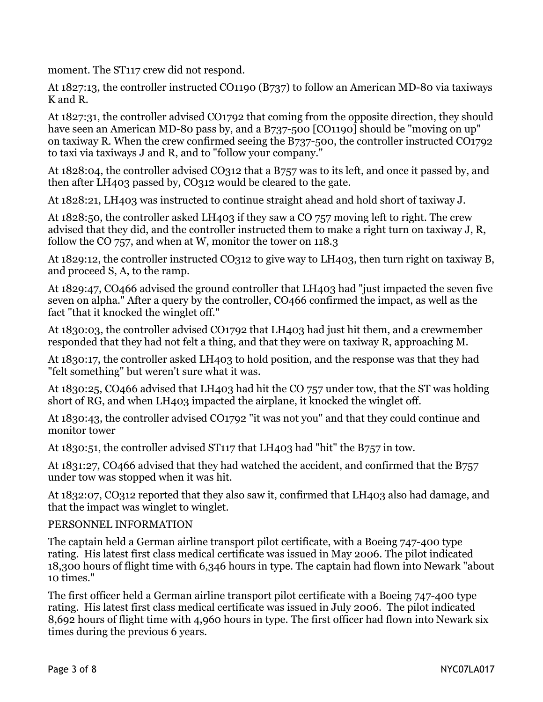moment. The ST117 crew did not respond.

At 1827:13, the controller instructed CO1190 (B737) to follow an American MD-80 via taxiways K and R.

At 1827:31, the controller advised CO1792 that coming from the opposite direction, they should have seen an American MD-80 pass by, and a B737-500 [CO1190] should be "moving on up" on taxiway R. When the crew confirmed seeing the B737-500, the controller instructed CO1792 to taxi via taxiways J and R, and to "follow your company."

At 1828:04, the controller advised CO312 that a B757 was to its left, and once it passed by, and then after LH403 passed by, CO312 would be cleared to the gate.

At 1828:21, LH403 was instructed to continue straight ahead and hold short of taxiway J.

At 1828:50, the controller asked LH403 if they saw a CO 757 moving left to right. The crew advised that they did, and the controller instructed them to make a right turn on taxiway J, R, follow the CO 757, and when at W, monitor the tower on 118.3

At 1829:12, the controller instructed CO312 to give way to LH403, then turn right on taxiway B, and proceed S, A, to the ramp.

At 1829:47, CO466 advised the ground controller that LH403 had "just impacted the seven five seven on alpha." After a query by the controller, CO466 confirmed the impact, as well as the fact "that it knocked the winglet off."

At 1830:03, the controller advised CO1792 that LH403 had just hit them, and a crewmember responded that they had not felt a thing, and that they were on taxiway R, approaching M.

At 1830:17, the controller asked LH403 to hold position, and the response was that they had "felt something" but weren't sure what it was.

At 1830:25, CO466 advised that LH403 had hit the CO 757 under tow, that the ST was holding short of RG, and when LH403 impacted the airplane, it knocked the winglet off.

At 1830:43, the controller advised CO1792 "it was not you" and that they could continue and monitor tower

At 1830:51, the controller advised ST117 that LH403 had "hit" the B757 in tow.

At 1831:27, CO466 advised that they had watched the accident, and confirmed that the B757 under tow was stopped when it was hit.

At 1832:07, CO312 reported that they also saw it, confirmed that LH403 also had damage, and that the impact was winglet to winglet.

#### PERSONNEL INFORMATION

The captain held a German airline transport pilot certificate, with a Boeing 747-400 type rating. His latest first class medical certificate was issued in May 2006. The pilot indicated 18,300 hours of flight time with 6,346 hours in type. The captain had flown into Newark "about 10 times."

The first officer held a German airline transport pilot certificate with a Boeing 747-400 type rating. His latest first class medical certificate was issued in July 2006. The pilot indicated 8,692 hours of flight time with 4,960 hours in type. The first officer had flown into Newark six times during the previous 6 years.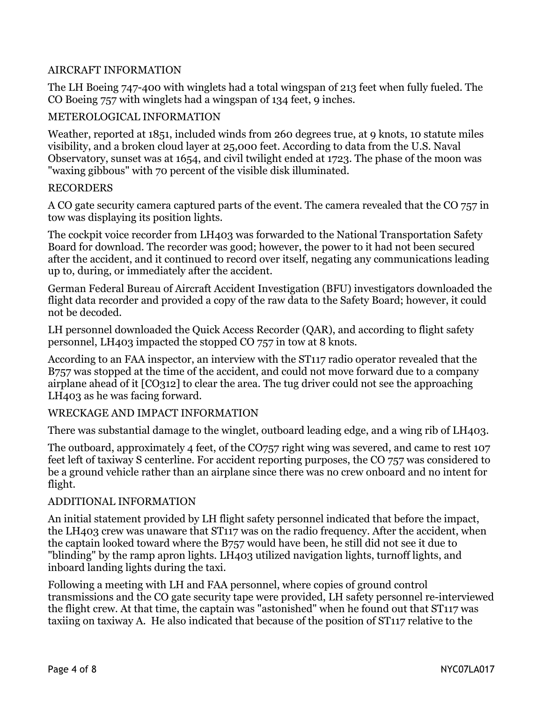#### AIRCRAFT INFORMATION

The LH Boeing 747-400 with winglets had a total wingspan of 213 feet when fully fueled. The CO Boeing 757 with winglets had a wingspan of 134 feet, 9 inches.

#### METEROLOGICAL INFORMATION

Weather, reported at 1851, included winds from 260 degrees true, at 9 knots, 10 statute miles visibility, and a broken cloud layer at 25,000 feet. According to data from the U.S. Naval Observatory, sunset was at 1654, and civil twilight ended at 1723. The phase of the moon was "waxing gibbous" with 70 percent of the visible disk illuminated.

#### RECORDERS

A CO gate security camera captured parts of the event. The camera revealed that the CO 757 in tow was displaying its position lights.

The cockpit voice recorder from LH403 was forwarded to the National Transportation Safety Board for download. The recorder was good; however, the power to it had not been secured after the accident, and it continued to record over itself, negating any communications leading up to, during, or immediately after the accident.

German Federal Bureau of Aircraft Accident Investigation (BFU) investigators downloaded the flight data recorder and provided a copy of the raw data to the Safety Board; however, it could not be decoded.

LH personnel downloaded the Quick Access Recorder (QAR), and according to flight safety personnel, LH403 impacted the stopped CO 757 in tow at 8 knots.

According to an FAA inspector, an interview with the ST117 radio operator revealed that the B757 was stopped at the time of the accident, and could not move forward due to a company airplane ahead of it [CO312] to clear the area. The tug driver could not see the approaching LH403 as he was facing forward.

#### WRECKAGE AND IMPACT INFORMATION

There was substantial damage to the winglet, outboard leading edge, and a wing rib of LH403.

The outboard, approximately 4 feet, of the CO757 right wing was severed, and came to rest 107 feet left of taxiway S centerline. For accident reporting purposes, the CO 757 was considered to be a ground vehicle rather than an airplane since there was no crew onboard and no intent for flight.

#### ADDITIONAL INFORMATION

An initial statement provided by LH flight safety personnel indicated that before the impact, the LH403 crew was unaware that ST117 was on the radio frequency. After the accident, when the captain looked toward where the B757 would have been, he still did not see it due to "blinding" by the ramp apron lights. LH403 utilized navigation lights, turnoff lights, and inboard landing lights during the taxi.

Following a meeting with LH and FAA personnel, where copies of ground control transmissions and the CO gate security tape were provided, LH safety personnel re-interviewed the flight crew. At that time, the captain was "astonished" when he found out that ST117 was taxiing on taxiway A. He also indicated that because of the position of ST117 relative to the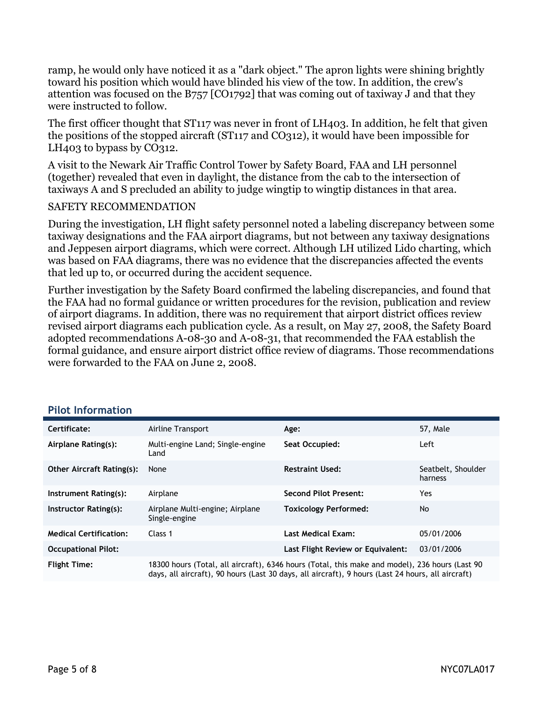ramp, he would only have noticed it as a "dark object." The apron lights were shining brightly toward his position which would have blinded his view of the tow. In addition, the crew's attention was focused on the B757 [CO1792] that was coming out of taxiway J and that they were instructed to follow.

The first officer thought that ST117 was never in front of LH403. In addition, he felt that given the positions of the stopped aircraft (ST117 and CO312), it would have been impossible for LH<sub>403</sub> to bypass by CO<sub>312</sub>.

A visit to the Newark Air Traffic Control Tower by Safety Board, FAA and LH personnel (together) revealed that even in daylight, the distance from the cab to the intersection of taxiways A and S precluded an ability to judge wingtip to wingtip distances in that area.

#### SAFETY RECOMMENDATION

During the investigation, LH flight safety personnel noted a labeling discrepancy between some taxiway designations and the FAA airport diagrams, but not between any taxiway designations and Jeppesen airport diagrams, which were correct. Although LH utilized Lido charting, which was based on FAA diagrams, there was no evidence that the discrepancies affected the events that led up to, or occurred during the accident sequence.

Further investigation by the Safety Board confirmed the labeling discrepancies, and found that the FAA had no formal guidance or written procedures for the revision, publication and review of airport diagrams. In addition, there was no requirement that airport district offices review revised airport diagrams each publication cycle. As a result, on May 27, 2008, the Safety Board adopted recommendations A-08-30 and A-08-31, that recommended the FAA establish the formal guidance, and ensure airport district office review of diagrams. Those recommendations were forwarded to the FAA on June 2, 2008.

| Certificate:                     | Airline Transport                                                                                                                                                                                   | Age:                              | 57, Male                      |
|----------------------------------|-----------------------------------------------------------------------------------------------------------------------------------------------------------------------------------------------------|-----------------------------------|-------------------------------|
| Airplane Rating(s):              | Multi-engine Land; Single-engine<br>Land                                                                                                                                                            | Seat Occupied:                    | Left                          |
| <b>Other Aircraft Rating(s):</b> | None                                                                                                                                                                                                | <b>Restraint Used:</b>            | Seatbelt, Shoulder<br>harness |
| Instrument Rating(s):            | Airplane                                                                                                                                                                                            | <b>Second Pilot Present:</b>      | Yes                           |
| Instructor Rating(s):            | Airplane Multi-engine; Airplane<br>Single-engine                                                                                                                                                    | <b>Toxicology Performed:</b>      | No.                           |
| <b>Medical Certification:</b>    | Class 1                                                                                                                                                                                             | <b>Last Medical Exam:</b>         | 05/01/2006                    |
| <b>Occupational Pilot:</b>       |                                                                                                                                                                                                     | Last Flight Review or Equivalent: | 03/01/2006                    |
| <b>Flight Time:</b>              | 18300 hours (Total, all aircraft), 6346 hours (Total, this make and model), 236 hours (Last 90<br>days, all aircraft), 90 hours (Last 30 days, all aircraft), 9 hours (Last 24 hours, all aircraft) |                                   |                               |

#### **Pilot Information**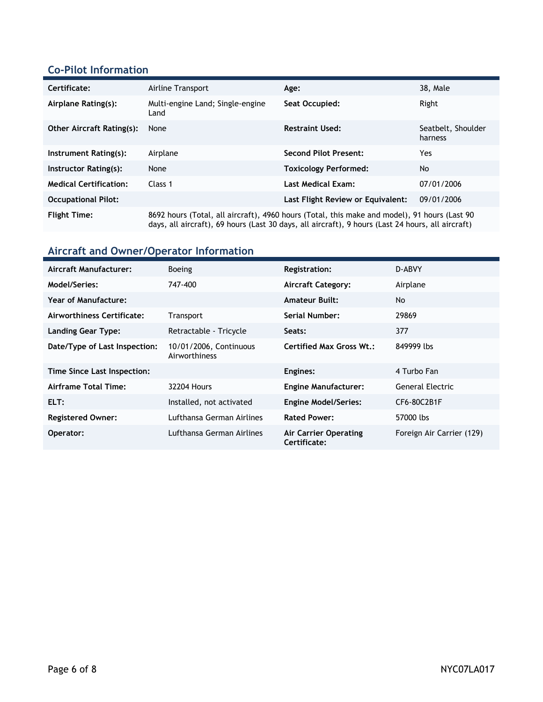### **Co-Pilot Information**

| Certificate:                     | Airline Transport                                                                                                                                                                                 | Age:                              | 38. Male                      |
|----------------------------------|---------------------------------------------------------------------------------------------------------------------------------------------------------------------------------------------------|-----------------------------------|-------------------------------|
| Airplane Rating(s):              | Multi-engine Land; Single-engine<br>Land                                                                                                                                                          | Seat Occupied:                    | Right                         |
| <b>Other Aircraft Rating(s):</b> | None                                                                                                                                                                                              | <b>Restraint Used:</b>            | Seatbelt, Shoulder<br>harness |
| Instrument Rating(s):            | Airplane                                                                                                                                                                                          | <b>Second Pilot Present:</b>      | Yes                           |
| Instructor Rating(s):            | None                                                                                                                                                                                              | <b>Toxicology Performed:</b>      | <b>No</b>                     |
| <b>Medical Certification:</b>    | Class 1                                                                                                                                                                                           | <b>Last Medical Exam:</b>         | 07/01/2006                    |
| <b>Occupational Pilot:</b>       |                                                                                                                                                                                                   | Last Flight Review or Equivalent: | 09/01/2006                    |
| <b>Flight Time:</b>              | 8692 hours (Total, all aircraft), 4960 hours (Total, this make and model), 91 hours (Last 90<br>days, all aircraft), 69 hours (Last 30 days, all aircraft), 9 hours (Last 24 hours, all aircraft) |                                   |                               |

## **Aircraft and Owner/Operator Information**

| Aircraft Manufacturer:        | <b>Boeing</b>                           | <b>Registration:</b>                         | D-ABVY                    |
|-------------------------------|-----------------------------------------|----------------------------------------------|---------------------------|
| Model/Series:                 | 747-400                                 | <b>Aircraft Category:</b>                    | Airplane                  |
| Year of Manufacture:          |                                         | <b>Amateur Built:</b>                        | No.                       |
| Airworthiness Certificate:    | Transport                               | Serial Number:                               | 29869                     |
| <b>Landing Gear Type:</b>     | Retractable - Tricycle                  | Seats:                                       | 377                       |
| Date/Type of Last Inspection: | 10/01/2006, Continuous<br>Airworthiness | Certified Max Gross Wt.:                     | 849999 lbs                |
| Time Since Last Inspection:   |                                         | Engines:                                     | 4 Turbo Fan               |
| Airframe Total Time:          | <b>32204 Hours</b>                      | <b>Engine Manufacturer:</b>                  | General Electric          |
| ELT:                          | Installed, not activated                | <b>Engine Model/Series:</b>                  | CF6-80C2B1F               |
| <b>Registered Owner:</b>      | Lufthansa German Airlines               | <b>Rated Power:</b>                          | 57000 lbs                 |
| Operator:                     | Lufthansa German Airlines               | <b>Air Carrier Operating</b><br>Certificate: | Foreign Air Carrier (129) |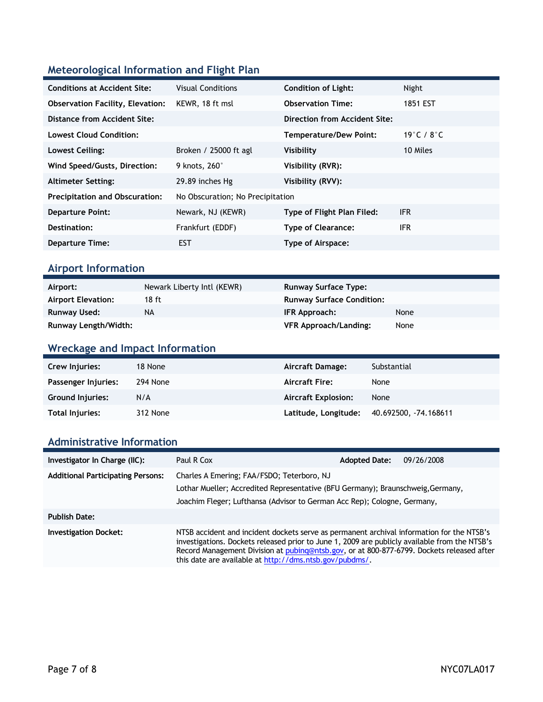## **Meteorological Information and Flight Plan**

| <b>Conditions at Accident Site:</b>     | <b>Visual Conditions</b>         | <b>Condition of Light:</b>    | Night                            |
|-----------------------------------------|----------------------------------|-------------------------------|----------------------------------|
| <b>Observation Facility, Elevation:</b> | KEWR, 18 ft msl                  | <b>Observation Time:</b>      | 1851 EST                         |
| Distance from Accident Site:            |                                  | Direction from Accident Site: |                                  |
| <b>Lowest Cloud Condition:</b>          |                                  | Temperature/Dew Point:        | 19 $^{\circ}$ C / 8 $^{\circ}$ C |
| Lowest Ceiling:                         | Broken / 25000 ft agl            | Visibility                    | 10 Miles                         |
| Wind Speed/Gusts, Direction:            | 9 knots, 260°                    | Visibility (RVR):             |                                  |
| <b>Altimeter Setting:</b>               | 29.89 inches Hg                  | Visibility (RVV):             |                                  |
| <b>Precipitation and Obscuration:</b>   | No Obscuration; No Precipitation |                               |                                  |
| <b>Departure Point:</b>                 | Newark, NJ (KEWR)                | Type of Flight Plan Filed:    | <b>IFR</b>                       |
| Destination:                            | Frankfurt (EDDF)                 | <b>Type of Clearance:</b>     | <b>IFR</b>                       |
| <b>Departure Time:</b>                  | EST                              | Type of Airspace:             |                                  |

### **Airport Information**

| Airport:                    | Newark Liberty Intl (KEWR) | <b>Runway Surface Type:</b>      |      |
|-----------------------------|----------------------------|----------------------------------|------|
| <b>Airport Elevation:</b>   | 18 ft                      | <b>Runway Surface Condition:</b> |      |
| Runway Used:                | NA                         | IFR Approach:                    | None |
| <b>Runway Length/Width:</b> |                            | <b>VFR Approach/Landing:</b>     | None |

## **Wreckage and Impact Information**

| <b>Crew Injuries:</b>   | 18 None  | Aircraft Damage:           | Substantial          |
|-------------------------|----------|----------------------------|----------------------|
| Passenger Injuries:     | 294 None | <b>Aircraft Fire:</b>      | None                 |
| <b>Ground Injuries:</b> | N/A      | <b>Aircraft Explosion:</b> | None                 |
| Total Injuries:         | 312 None | Latitude, Longitude:       | 40.692500, 74.168611 |

### **Administrative Information**

| Investigator In Charge (IIC):            | Paul R Cox                                                                                                                                                                                                                                                                                                                                         | <b>Adopted Date:</b> | 09/26/2008 |
|------------------------------------------|----------------------------------------------------------------------------------------------------------------------------------------------------------------------------------------------------------------------------------------------------------------------------------------------------------------------------------------------------|----------------------|------------|
| <b>Additional Participating Persons:</b> | Charles A Emering; FAA/FSDO; Teterboro, NJ<br>Lothar Mueller; Accredited Representative (BFU Germany); Braunschweig,Germany,<br>Joachim Fleger; Lufthansa (Advisor to German Acc Rep); Cologne, Germany,                                                                                                                                           |                      |            |
| <b>Publish Date:</b>                     |                                                                                                                                                                                                                                                                                                                                                    |                      |            |
| <b>Investigation Docket:</b>             | NTSB accident and incident dockets serve as permanent archival information for the NTSB's<br>investigations. Dockets released prior to June 1, 2009 are publicly available from the NTSB's<br>Record Management Division at pubing@ntsb.gov, or at 800-877-6799. Dockets released after<br>this date are available at http://dms.ntsb.gov/pubdms/. |                      |            |